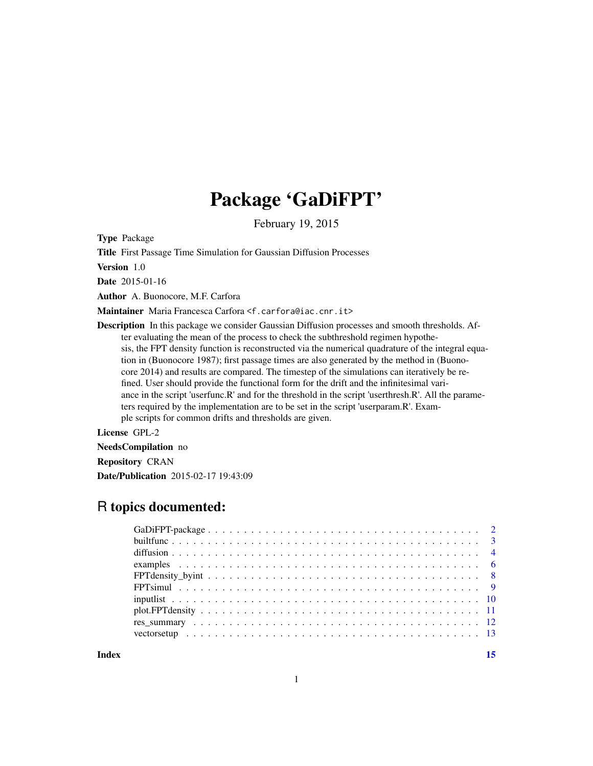## Package 'GaDiFPT'

February 19, 2015

Type Package

Title First Passage Time Simulation for Gaussian Diffusion Processes

Version 1.0

Date 2015-01-16

Author A. Buonocore, M.F. Carfora

Maintainer Maria Francesca Carfora <f.carfora@iac.cnr.it>

Description In this package we consider Gaussian Diffusion processes and smooth thresholds. After evaluating the mean of the process to check the subthreshold regimen hypothesis, the FPT density function is reconstructed via the numerical quadrature of the integral equation in (Buonocore 1987); first passage times are also generated by the method in (Buonocore 2014) and results are compared. The timestep of the simulations can iteratively be refined. User should provide the functional form for the drift and the infinitesimal variance in the script 'userfunc.R' and for the threshold in the script 'userthresh.R'. All the parameters required by the implementation are to be set in the script 'userparam.R'. Example scripts for common drifts and thresholds are given.

License GPL-2

NeedsCompilation no

Repository CRAN

Date/Publication 2015-02-17 19:43:09

### R topics documented:

**Index** [15](#page-14-0)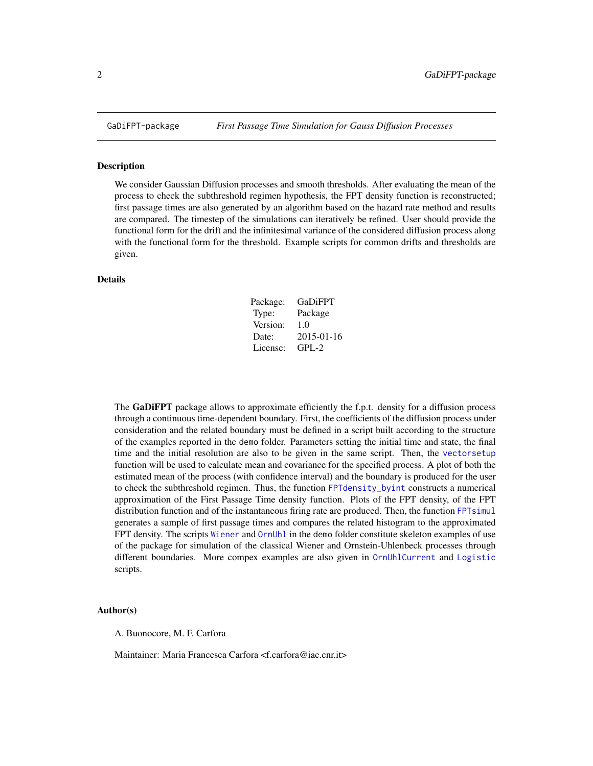<span id="page-1-0"></span>

#### Description

We consider Gaussian Diffusion processes and smooth thresholds. After evaluating the mean of the process to check the subthreshold regimen hypothesis, the FPT density function is reconstructed; first passage times are also generated by an algorithm based on the hazard rate method and results are compared. The timestep of the simulations can iteratively be refined. User should provide the functional form for the drift and the infinitesimal variance of the considered diffusion process along with the functional form for the threshold. Example scripts for common drifts and thresholds are given.

#### Details

| Package: | <b>GaDiFPT</b> |
|----------|----------------|
| Type:    | Package        |
| Version: | 1.0            |
| Date:    | 2015-01-16     |
| License: | $GPI - 2$      |

The GaDiFPT package allows to approximate efficiently the f.p.t. density for a diffusion process through a continuous time-dependent boundary. First, the coefficients of the diffusion process under consideration and the related boundary must be defined in a script built according to the structure of the examples reported in the demo folder. Parameters setting the initial time and state, the final time and the initial resolution are also to be given in the same script. Then, the [vectorsetup](#page-12-1) function will be used to calculate mean and covariance for the specified process. A plot of both the estimated mean of the process (with confidence interval) and the boundary is produced for the user to check the subthreshold regimen. Thus, the function [FPTdensity\\_byint](#page-7-1) constructs a numerical approximation of the First Passage Time density function. Plots of the FPT density, of the FPT distribution function and of the instantaneous firing rate are produced. Then, the function [FPTsimul](#page-8-1) generates a sample of first passage times and compares the related histogram to the approximated FPT density. The scripts [Wiener](#page-5-1) and [OrnUhl](#page-5-1) in the demo folder constitute skeleton examples of use of the package for simulation of the classical Wiener and Ornstein-Uhlenbeck processes through different boundaries. More compex examples are also given in [OrnUhlCurrent](#page-5-1) and [Logistic](#page-5-1) scripts.

#### Author(s)

A. Buonocore, M. F. Carfora

Maintainer: Maria Francesca Carfora <f.carfora@iac.cnr.it>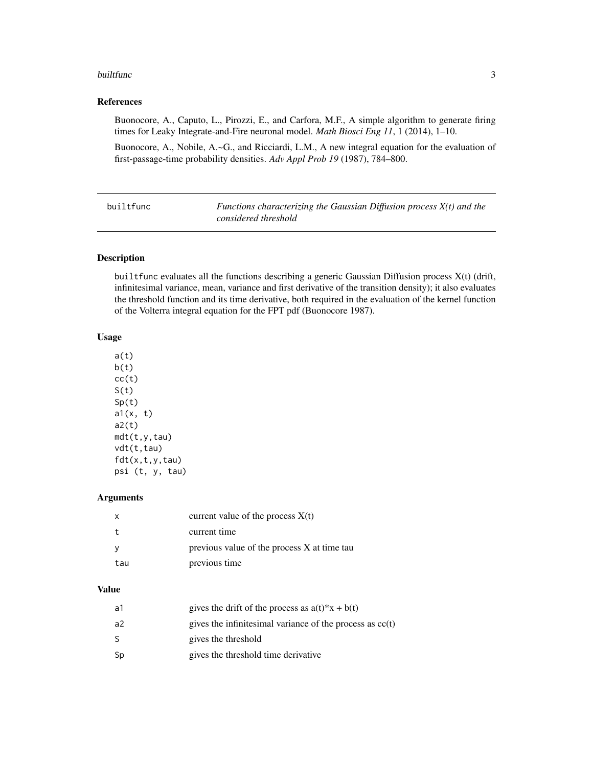#### <span id="page-2-0"></span>builtfunc 3

#### References

Buonocore, A., Caputo, L., Pirozzi, E., and Carfora, M.F., A simple algorithm to generate firing times for Leaky Integrate-and-Fire neuronal model. *Math Biosci Eng 11*, 1 (2014), 1–10.

Buonocore, A., Nobile, A.~G., and Ricciardi, L.M., A new integral equation for the evaluation of first-passage-time probability densities. *Adv Appl Prob 19* (1987), 784–800.

| builtfunc | Functions characterizing the Gaussian Diffusion process $X(t)$ and the |
|-----------|------------------------------------------------------------------------|
|           | considered threshold                                                   |

#### Description

builtfunc evaluates all the functions describing a generic Gaussian Diffusion process X(t) (drift, infinitesimal variance, mean, variance and first derivative of the transition density); it also evaluates the threshold function and its time derivative, both required in the evaluation of the kernel function of the Volterra integral equation for the FPT pdf (Buonocore 1987).

#### Usage

a(t)  $b(t)$  $cc(t)$  $S(t)$  $Sp(t)$  $a1(x, t)$  $a2(t)$ mdt(t,y,tau) vdt(t,tau) fdt(x,t,y,tau) psi (t, y, tau)

#### Arguments

| х   | current value of the process $X(t)$         |
|-----|---------------------------------------------|
|     | current time                                |
|     | previous value of the process X at time tau |
| tau | previous time                               |

#### Value

| а1 | gives the drift of the process as $a(t)*x + b(t)$          |
|----|------------------------------------------------------------|
| a2 | gives the infinitesimal variance of the process as $cc(t)$ |
| S. | gives the threshold                                        |
| Sp | gives the threshold time derivative                        |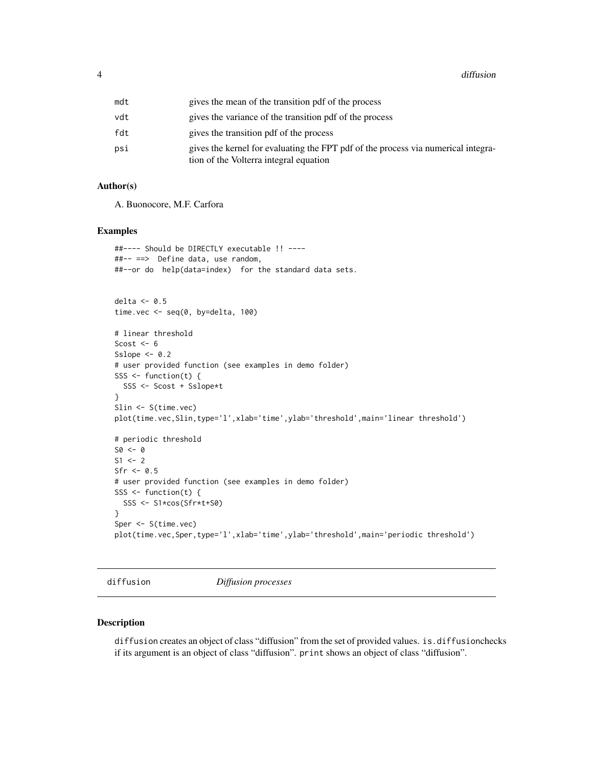<span id="page-3-0"></span>

| mdt | gives the mean of the transition pdf of the process                                                                         |
|-----|-----------------------------------------------------------------------------------------------------------------------------|
| vdt | gives the variance of the transition pdf of the process                                                                     |
| fdt | gives the transition pdf of the process                                                                                     |
| psi | gives the kernel for evaluating the FPT pdf of the process via numerical integra-<br>tion of the Volterra integral equation |

#### Author(s)

A. Buonocore, M.F. Carfora

#### Examples

```
##---- Should be DIRECTLY executable !! ----
##-- ==> Define data, use random,
##--or do help(data=index) for the standard data sets.
delta <-0.5time.vec <- seq(0, by=delta, 100)
# linear threshold
Scost <-6Sslope <-0.2# user provided function (see examples in demo folder)
SSS \le function(t) {
 SSS <- Scost + Sslope*t
}
Slin <- S(time.vec)
plot(time.vec,Slin,type='l',xlab='time',ylab='threshold',main='linear threshold')
# periodic threshold
SO < - 0S1 <- 2
Sfr < -0.5# user provided function (see examples in demo folder)
SSS \le function(t) {
 SSS <- S1*cos(Sfr*t+S0)
}
Sper <- S(time.vec)
plot(time.vec,Sper,type='l',xlab='time',ylab='threshold',main='periodic threshold')
```
diffusion *Diffusion processes*

#### Description

diffusion creates an object of class "diffusion" from the set of provided values. is.diffusionchecks if its argument is an object of class "diffusion". print shows an object of class "diffusion".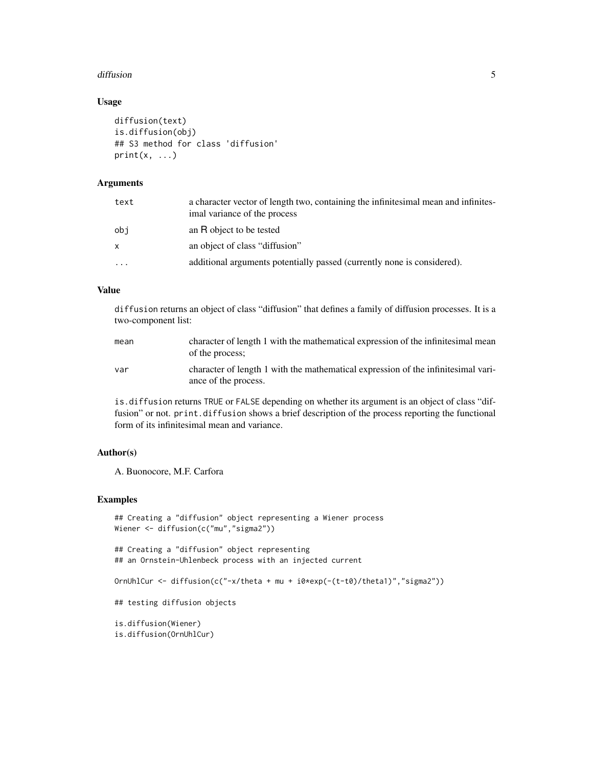#### diffusion 5 to 1999 and 2009 and 2009 and 2009 and 2009 and 2009 and 2009 and 2009 and 2009 and 2009 and 2009  $\pm$

#### Usage

```
diffusion(text)
is.diffusion(obj)
## S3 method for class 'diffusion'
print(x, \ldots)
```
#### Arguments

| text         | a character vector of length two, containing the infinitesimal mean and infinites-<br>imal variance of the process |
|--------------|--------------------------------------------------------------------------------------------------------------------|
| obi          | an R object to be tested                                                                                           |
| $\mathsf{x}$ | an object of class "diffusion"                                                                                     |
| $\ddotsc$    | additional arguments potentially passed (currently none is considered).                                            |

#### Value

diffusion returns an object of class "diffusion" that defines a family of diffusion processes. It is a two-component list:

| mean | character of length 1 with the mathematical expression of the infinitesimal mean<br>of the process;       |
|------|-----------------------------------------------------------------------------------------------------------|
| var  | character of length 1 with the mathematical expression of the infinitesimal vari-<br>ance of the process. |

is.diffusion returns TRUE or FALSE depending on whether its argument is an object of class "diffusion" or not. print.diffusion shows a brief description of the process reporting the functional form of its infinitesimal mean and variance.

#### Author(s)

A. Buonocore, M.F. Carfora

#### Examples

```
## Creating a "diffusion" object representing a Wiener process
Wiener <- diffusion(c("mu","sigma2"))
## Creating a "diffusion" object representing
## an Ornstein-Uhlenbeck process with an injected current
OrnUhlCur <- diffusion(c("-x/theta + mu + i0*exp(-(t-t0)/theta1)","sigma2"))
## testing diffusion objects
is.diffusion(Wiener)
is.diffusion(OrnUhlCur)
```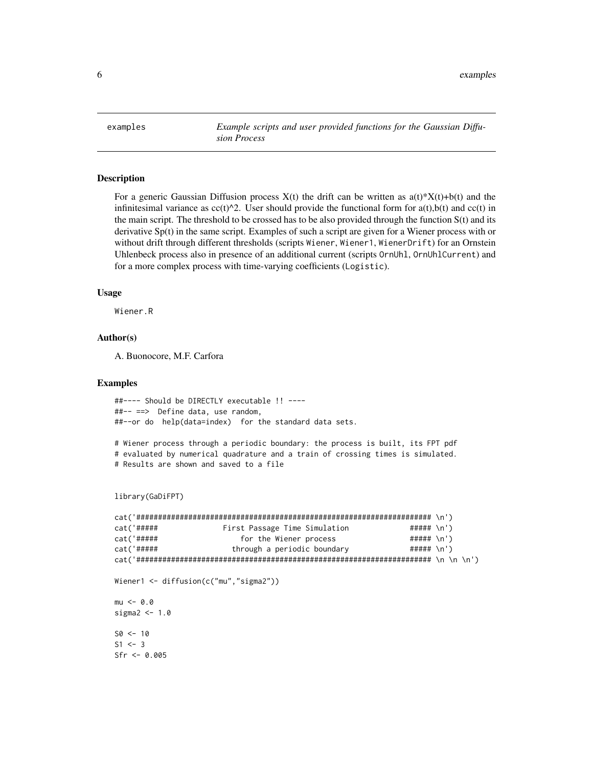<span id="page-5-0"></span>examples *Example scripts and user provided functions for the Gaussian Diffusion Process*

#### <span id="page-5-1"></span>**Description**

For a generic Gaussian Diffusion process  $X(t)$  the drift can be written as  $a(t) * X(t) + b(t)$  and the infinitesimal variance as  $cc(t)^2$ . User should provide the functional form for a(t),b(t) and cc(t) in the main script. The threshold to be crossed has to be also provided through the function S(t) and its derivative Sp(t) in the same script. Examples of such a script are given for a Wiener process with or without drift through different thresholds (scripts Wiener, Wiener1, WienerDrift) for an Ornstein Uhlenbeck process also in presence of an additional current (scripts OrnUhl, OrnUhlCurrent) and for a more complex process with time-varying coefficients (Logistic).

#### Usage

Wiener.R

#### Author(s)

A. Buonocore, M.F. Carfora

#### Examples

##---- Should be DIRECTLY executable !! ---- ##-- ==> Define data, use random, ##--or do help(data=index) for the standard data sets.

# Wiener process through a periodic boundary: the process is built, its FPT pdf # evaluated by numerical quadrature and a train of crossing times is simulated. # Results are shown and saved to a file

```
library(GaDiFPT)
```

```
cat('#################################################################### \n')
cat('##### First Passage Time Simulation ##### \n')
cat('##### for the Wiener process ##### \n')
cat('##### through a periodic boundary ##### \n')
cat('#################################################################### \n \n \n')
Wiener1 <- diffusion(c("mu","sigma2"))
mu < -0.0sigma2 < -1.0S0 < -10S1 < -3Sfr <- 0.005
```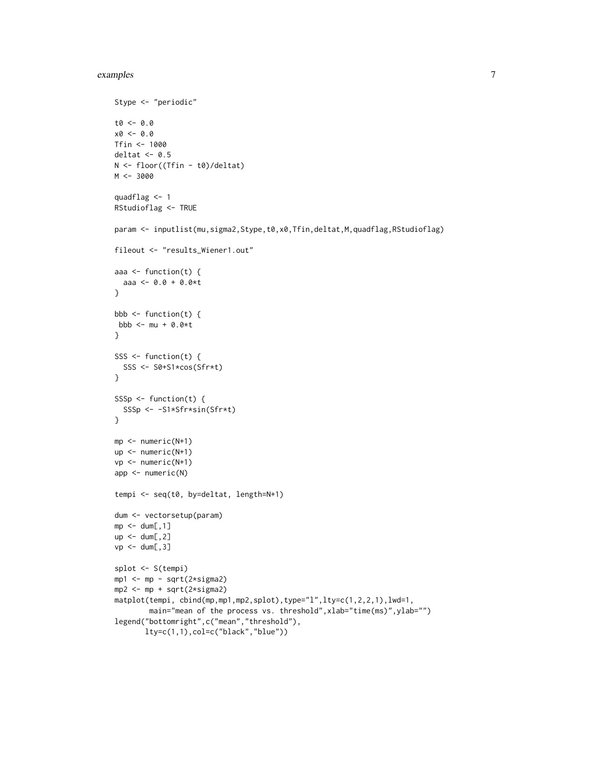#### examples 7

```
Stype <- "periodic"
t0 <- 0.0
x0 < -0.0Tfin <- 1000
deltat <-0.5N <- floor((Tfin - t0)/deltat)
M < -3000quadflag <- 1
RStudioflag <- TRUE
param <- inputlist(mu,sigma2,Stype,t0,x0,Tfin,deltat,M,quadflag,RStudioflag)
fileout <- "results_Wiener1.out"
aaa <- function(t) {
 aaa <- 0.0 + 0.0*t
}
bbb \leq function(t) {
bbb <- mu + 0.0*t}
SSS \leftarrow function(t) {
  SSS <- S0+S1*cos(Sfr*t)
}
SSSp \leftarrow function(t) {
  SSSp <- -S1*Sfr*sin(Sfr*t)
}
mp <- numeric(N+1)
up <- numeric(N+1)
vp <- numeric(N+1)
app <- numeric(N)
tempi <- seq(t0, by=deltat, length=N+1)
dum <- vectorsetup(param)
mp < - dum[, 1]
up <- dum[,2]
vp \leftarrow \text{dum[, 3]}splot <- S(tempi)
mp1 <- mp - sqrt(2*sigma2)
mp2 <- mp + sqrt(2*sigma2)
matplot(tempi, cbind(mp,mp1,mp2,splot),type="l",lty=c(1,2,2,1),lwd=1,
        main="mean of the process vs. threshold", xlab="time(ms)", ylab="")
legend("bottomright",c("mean","threshold"),
       lty=c(1,1),col=c("black","blue"))
```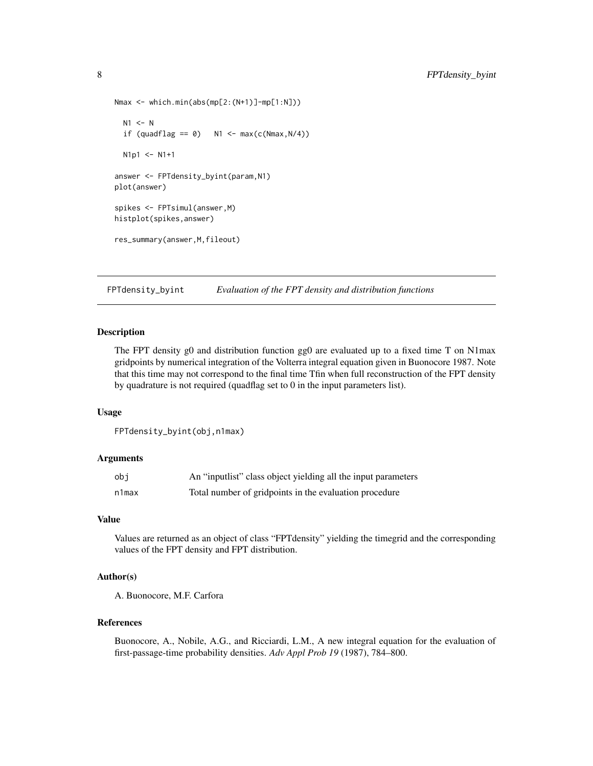```
Nmax <- which.min(abs(mp[2:(N+1)]-mp[1:N]))
 N1 <- Nif (quadflag == \theta) N1 <- max(c(Nmax,N/4))
 N1p1 < - N1+1answer <- FPTdensity_byint(param,N1)
plot(answer)
spikes <- FPTsimul(answer,M)
histplot(spikes,answer)
res_summary(answer,M,fileout)
```
<span id="page-7-1"></span>FPTdensity\_byint *Evaluation of the FPT density and distribution functions*

#### Description

The FPT density g0 and distribution function gg0 are evaluated up to a fixed time T on N1max gridpoints by numerical integration of the Volterra integral equation given in Buonocore 1987. Note that this time may not correspond to the final time Tfin when full reconstruction of the FPT density by quadrature is not required (quadflag set to 0 in the input parameters list).

#### Usage

```
FPTdensity_byint(obj,n1max)
```
#### Arguments

| obi   | An "input ist" class object yielding all the input parameters |
|-------|---------------------------------------------------------------|
| n1max | Total number of gridpoints in the evaluation procedure        |

#### Value

Values are returned as an object of class "FPTdensity" yielding the timegrid and the corresponding values of the FPT density and FPT distribution.

#### Author(s)

A. Buonocore, M.F. Carfora

#### References

Buonocore, A., Nobile, A.G., and Ricciardi, L.M., A new integral equation for the evaluation of first-passage-time probability densities. *Adv Appl Prob 19* (1987), 784–800.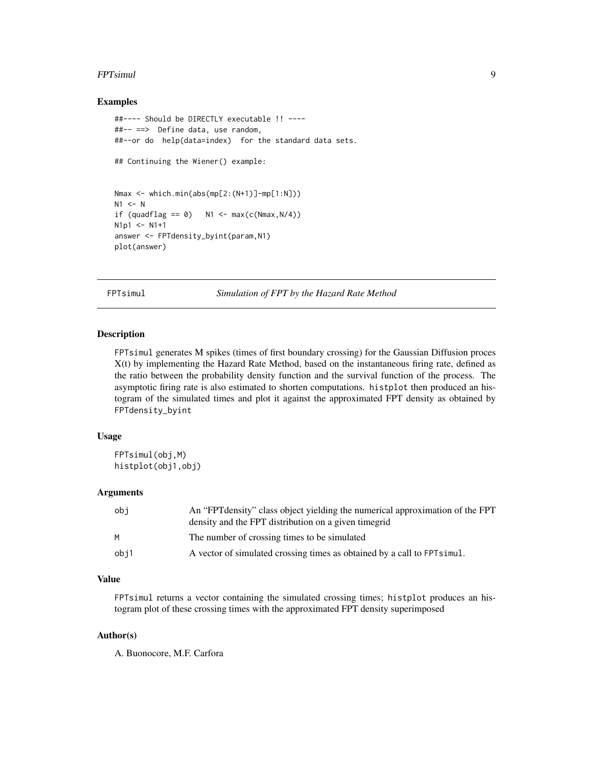#### <span id="page-8-0"></span>FPTsimul 9

#### Examples

```
##---- Should be DIRECTLY executable !! ----
##-- ==> Define data, use random,
##--or do help(data=index) for the standard data sets.
## Continuing the Wiener() example:
Nmax <- which.min(abs(mp[2:(N+1)]-mp[1:N]))
N1 <- Nif (quadflag == 0) N1 <- max(c(Nmax,N/4))
N1p1 <- N1+1answer <- FPTdensity_byint(param,N1)
plot(answer)
```
<span id="page-8-1"></span>FPTsimul *Simulation of FPT by the Hazard Rate Method*

#### Description

FPTsimul generates M spikes (times of first boundary crossing) for the Gaussian Diffusion proces X(t) by implementing the Hazard Rate Method, based on the instantaneous firing rate, defined as the ratio between the probability density function and the survival function of the process. The asymptotic firing rate is also estimated to shorten computations. histplot then produced an histogram of the simulated times and plot it against the approximated FPT density as obtained by FPTdensity\_byint

#### Usage

```
FPTsimul(obj,M)
histplot(obj1,obj)
```
#### Arguments

| obi  | An "FPT density" class object yielding the numerical approximation of the FPT<br>density and the FPT distribution on a given timegrid |
|------|---------------------------------------------------------------------------------------------------------------------------------------|
| м    | The number of crossing times to be simulated                                                                                          |
| obj1 | A vector of simulated crossing times as obtained by a call to FPT simul.                                                              |

#### Value

FPTsimul returns a vector containing the simulated crossing times; histplot produces an histogram plot of these crossing times with the approximated FPT density superimposed

#### Author(s)

A. Buonocore, M.F. Carfora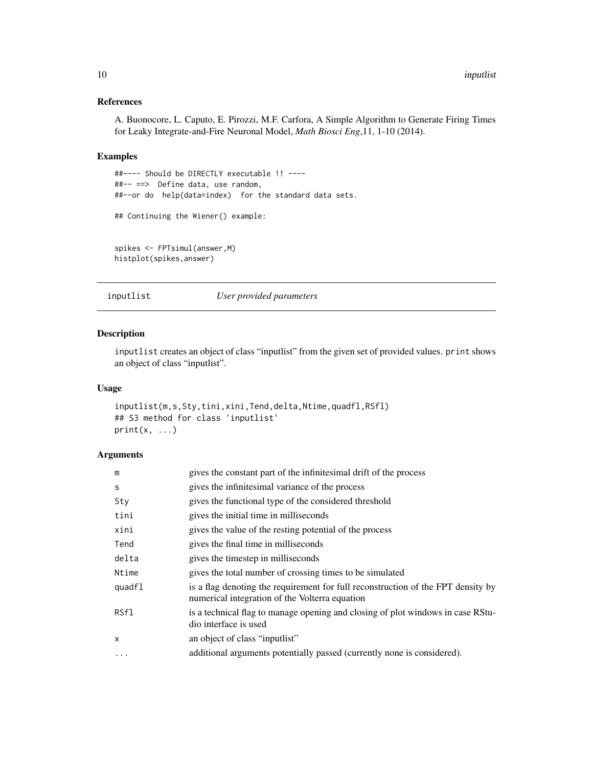#### References

A. Buonocore, L. Caputo, E. Pirozzi, M.F. Carfora, A Simple Algorithm to Generate Firing Times for Leaky Integrate-and-Fire Neuronal Model, *Math Biosci Eng*,11, 1-10 (2014).

#### Examples

```
##---- Should be DIRECTLY executable !! ----
##-- ==> Define data, use random,
##--or do help(data=index) for the standard data sets.
## Continuing the Wiener() example:
spikes <- FPTsimul(answer,M)
histplot(spikes,answer)
```
inputlist *User provided parameters*

#### Description

inputlist creates an object of class "inputlist" from the given set of provided values. print shows an object of class "inputlist".

#### Usage

```
inputlist(m,s,Sty,tini,xini,Tend,delta,Ntime,quadfl,RSfl)
## S3 method for class 'inputlist'
print(x, \ldots)
```
#### Arguments

| m        | gives the constant part of the infinitesimal drift of the process                                                                  |
|----------|------------------------------------------------------------------------------------------------------------------------------------|
| S        | gives the infinitesimal variance of the process                                                                                    |
| Sty      | gives the functional type of the considered threshold                                                                              |
| tini     | gives the initial time in milliseconds                                                                                             |
| xini     | gives the value of the resting potential of the process                                                                            |
| Tend     | gives the final time in milliseconds                                                                                               |
| delta    | gives the timestep in milliseconds                                                                                                 |
| Ntime    | gives the total number of crossing times to be simulated                                                                           |
| quadfl   | is a flag denoting the requirement for full reconstruction of the FPT density by<br>numerical integration of the Volterra equation |
| RSf1     | is a technical flag to manage opening and closing of plot windows in case RStu-<br>dio interface is used                           |
| X        | an object of class "input list"                                                                                                    |
| $\cdots$ | additional arguments potentially passed (currently none is considered).                                                            |

<span id="page-9-0"></span>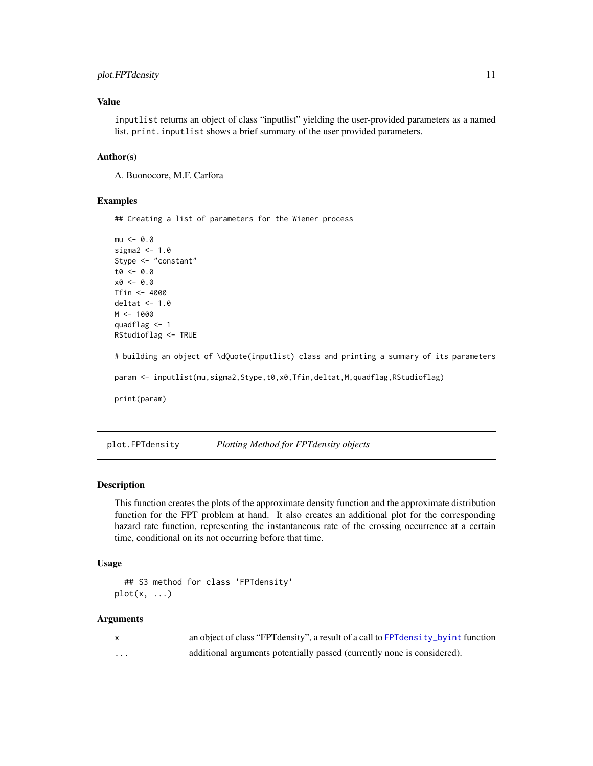#### <span id="page-10-0"></span>plot.FPTdensity 11

#### Value

inputlist returns an object of class "inputlist" yielding the user-provided parameters as a named list. print.inputlist shows a brief summary of the user provided parameters.

#### Author(s)

A. Buonocore, M.F. Carfora

#### Examples

## Creating a list of parameters for the Wiener process

```
mu < -0.0sigma2 < -1.0Stype <- "constant"
t0 < -0.0x0 <- 0.0
Tfin < -4000deltat <-1.0M < - 1000quadflag <- 1
RStudioflag <- TRUE
# building an object of \dQuote(inputlist) class and printing a summary of its parameters
param <- inputlist(mu,sigma2,Stype,t0,x0,Tfin,deltat,M,quadflag,RStudioflag)
print(param)
```
plot.FPTdensity *Plotting Method for FPTdensity objects*

#### Description

This function creates the plots of the approximate density function and the approximate distribution function for the FPT problem at hand. It also creates an additional plot for the corresponding hazard rate function, representing the instantaneous rate of the crossing occurrence at a certain time, conditional on its not occurring before that time.

#### Usage

```
## S3 method for class 'FPTdensity'
plot(x, \ldots)
```
#### Arguments

|   | an object of class "FPT density", a result of a call to FPT density_by int function |
|---|-------------------------------------------------------------------------------------|
| . | additional arguments potentially passed (currently none is considered).             |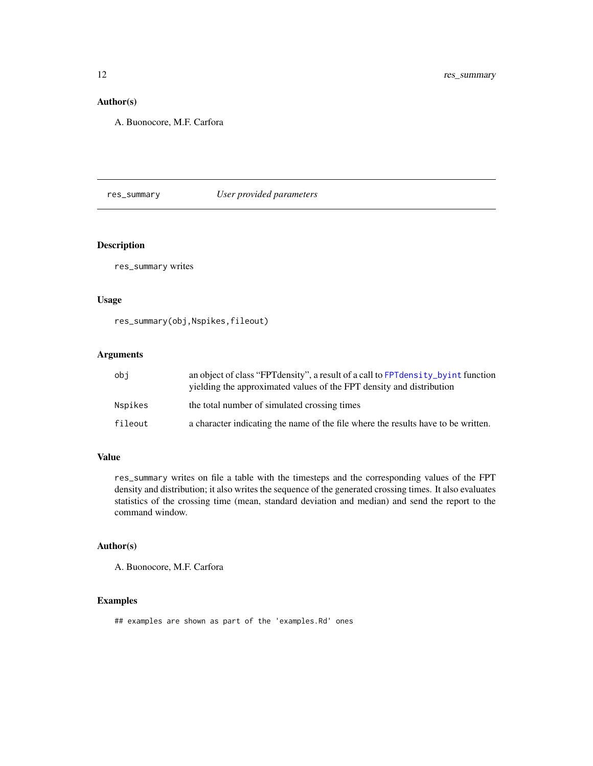#### Author(s)

A. Buonocore, M.F. Carfora

#### res\_summary *User provided parameters*

#### Description

res\_summary writes

#### Usage

res\_summary(obj,Nspikes,fileout)

#### Arguments

| obi     | an object of class "FPT density", a result of a call to FPT density_byint function<br>yielding the approximated values of the FPT density and distribution |
|---------|------------------------------------------------------------------------------------------------------------------------------------------------------------|
| Nspikes | the total number of simulated crossing times                                                                                                               |
| fileout | a character indicating the name of the file where the results have to be written.                                                                          |

#### Value

res\_summary writes on file a table with the timesteps and the corresponding values of the FPT density and distribution; it also writes the sequence of the generated crossing times. It also evaluates statistics of the crossing time (mean, standard deviation and median) and send the report to the command window.

#### Author(s)

A. Buonocore, M.F. Carfora

#### Examples

## examples are shown as part of the 'examples.Rd' ones

<span id="page-11-0"></span>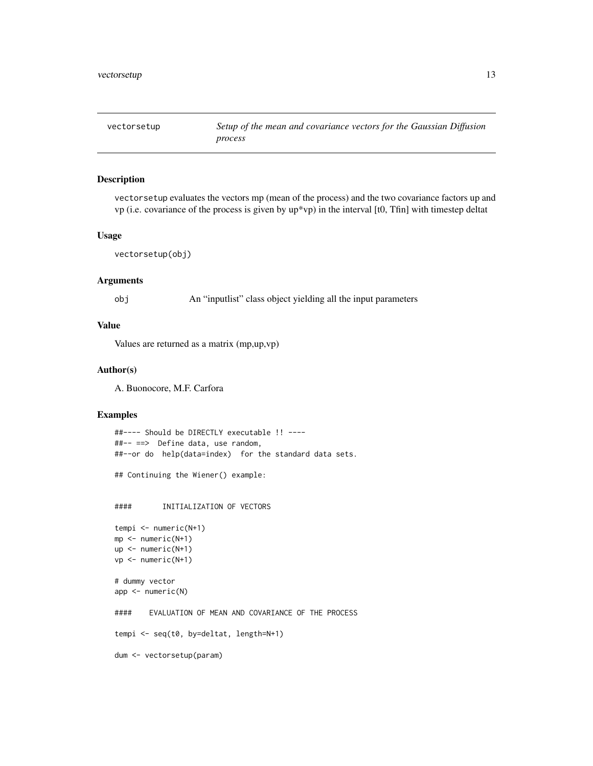<span id="page-12-1"></span><span id="page-12-0"></span>

#### Description

vectorsetup evaluates the vectors mp (mean of the process) and the two covariance factors up and vp (i.e. covariance of the process is given by up\*vp) in the interval [t0, Tfin] with timestep deltat

#### Usage

```
vectorsetup(obj)
```
#### Arguments

obj An "inputlist" class object yielding all the input parameters

#### Value

Values are returned as a matrix (mp,up,vp)

#### Author(s)

A. Buonocore, M.F. Carfora

#### Examples

```
##---- Should be DIRECTLY executable !! ----
##-- ==> Define data, use random,
##--or do help(data=index) for the standard data sets.
## Continuing the Wiener() example:
#### INITIALIZATION OF VECTORS
tempi <- numeric(N+1)
mp <- numeric(N+1)
up <- numeric(N+1)
vp <- numeric(N+1)
# dummy vector
app <- numeric(N)
#### EVALUATION OF MEAN AND COVARIANCE OF THE PROCESS
tempi <- seq(t0, by=deltat, length=N+1)
dum <- vectorsetup(param)
```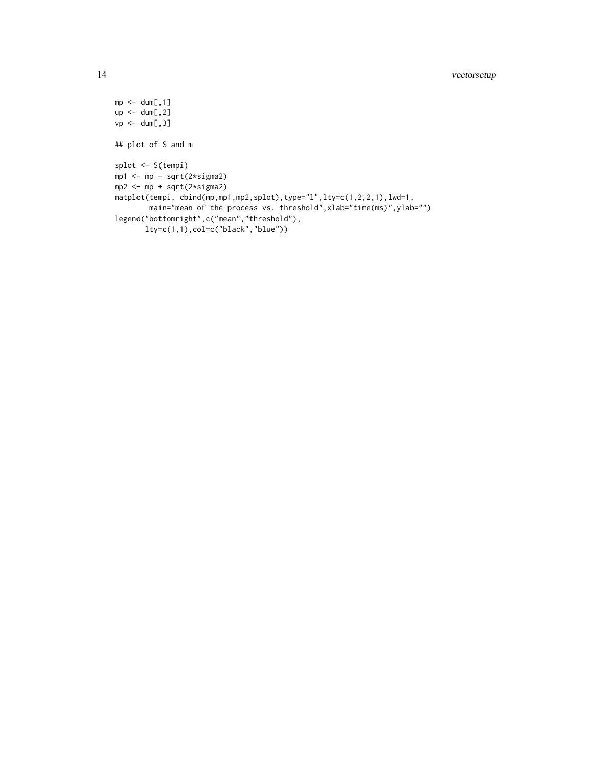```
mp < - dum[, 1]
up < -dum[, 2]vp \leftarrow \text{dum[, 3]}## plot of S and m
splot <- S(tempi)
mp1 <- mp - sqrt(2*sigma2)
mp2 <- mp + sqrt(2*sigma2)
matplot(tempi, cbind(mp,mp1,mp2,splot),type="l",lty=c(1,2,2,1),lwd=1,
        main="mean of the process vs. threshold", xlab="time(ms)", ylab="")
legend("bottomright",c("mean","threshold"),
       lty=c(1,1),col=c("black","blue"))
```